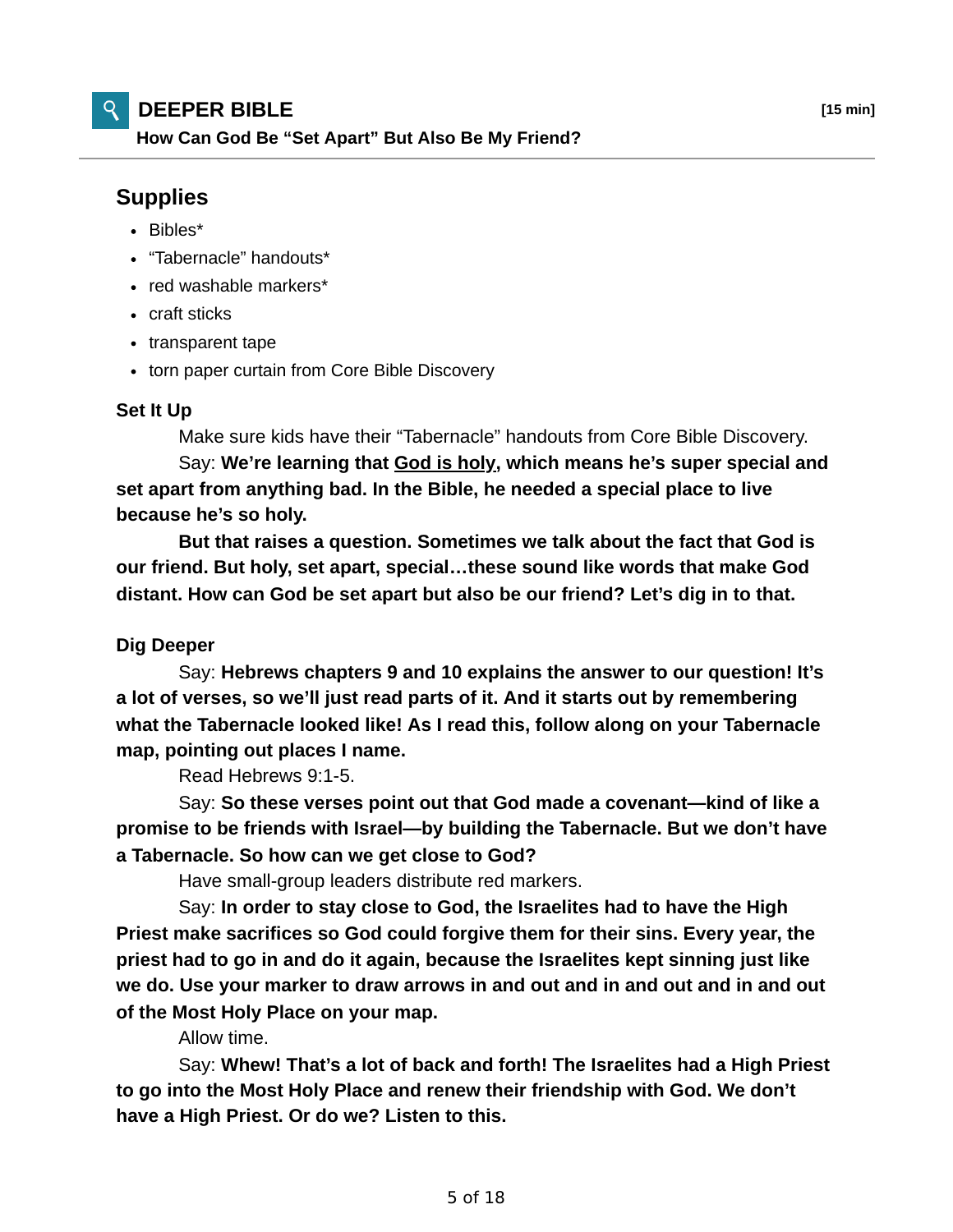## **DEEPER BIBLE [15 min]**

**How Can God Be "Set Apart" But Also Be My Friend?**

## **Supplies**

- Bibles\*
- "Tabernacle" handouts\*
- red washable markers\*
- craft sticks
- transparent tape
- torn paper curtain from Core Bible Discovery

## **Set It Up**

Make sure kids have their "Tabernacle" handouts from Core Bible Discovery.

 Say: **We're learning that God is holy, which means he's super special and set apart from anything bad. In the Bible, he needed a special place to live because he's so holy.**

 **But that raises a question. Sometimes we talk about the fact that God is our friend. But holy, set apart, special…these sound like words that make God distant. How can God be set apart but also be our friend? Let's dig in to that.**

## **Dig Deeper**

 Say: **Hebrews chapters 9 and 10 explains the answer to our question! It's a lot of verses, so we'll just read parts of it. And it starts out by remembering what the Tabernacle looked like! As I read this, follow along on your Tabernacle map, pointing out places I name.**

Read Hebrews 9:1-5.

 Say: **So these verses point out that God made a covenant—kind of like a promise to be friends with Israel—by building the Tabernacle. But we don't have a Tabernacle. So how can we get close to God?**

Have small-group leaders distribute red markers.

 Say: **In order to stay close to God, the Israelites had to have the High Priest make sacrifices so God could forgive them for their sins. Every year, the priest had to go in and do it again, because the Israelites kept sinning just like we do. Use your marker to draw arrows in and out and in and out and in and out of the Most Holy Place on your map.**

Allow time.

 Say: **Whew! That's a lot of back and forth! The Israelites had a High Priest to go into the Most Holy Place and renew their friendship with God. We don't have a High Priest. Or do we? Listen to this.**